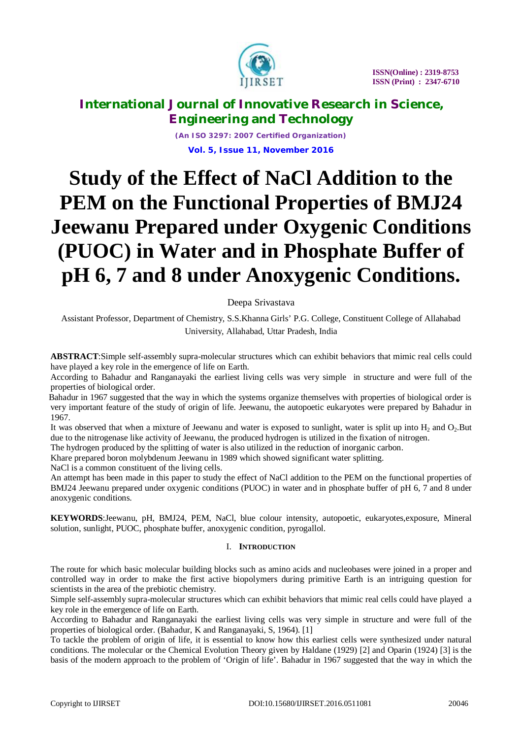

*(An ISO 3297: 2007 Certified Organization)* **Vol. 5, Issue 11, November 2016**

# **Study of the Effect of NaCl Addition to the PEM on the Functional Properties of BMJ24 Jeewanu Prepared under Oxygenic Conditions (PUOC) in Water and in Phosphate Buffer of pH 6, 7 and 8 under Anoxygenic Conditions.**

## Deepa Srivastava

Assistant Professor, Department of Chemistry, S.S.Khanna Girls' P.G. College, Constituent College of Allahabad University, Allahabad, Uttar Pradesh, India

**ABSTRACT**:Simple self-assembly supra-molecular structures which can exhibit behaviors that mimic real cells could have played a key role in the emergence of life on Earth.

According to Bahadur and Ranganayaki the earliest living cells was very simple in structure and were full of the properties of biological order.

 Bahadur in 1967 suggested that the way in which the systems organize themselves with properties of biological order is very important feature of the study of origin of life. Jeewanu, the autopoetic eukaryotes were prepared by Bahadur in 1967.

It was observed that when a mixture of Jeewanu and water is exposed to sunlight, water is split up into  $H_2$  and  $O_2$ . But due to the nitrogenase like activity of Jeewanu, the produced hydrogen is utilized in the fixation of nitrogen.

The hydrogen produced by the splitting of water is also utilized in the reduction of inorganic carbon.

Khare prepared boron molybdenum Jeewanu in 1989 which showed significant water splitting.

NaCl is a common constituent of the living cells.

An attempt has been made in this paper to study the effect of NaCl addition to the PEM on the functional properties of BMJ24 Jeewanu prepared under oxygenic conditions (PUOC) in water and in phosphate buffer of pH 6, 7 and 8 under anoxygenic conditions.

**KEYWORDS**:Jeewanu, pH, BMJ24, PEM, NaCl, blue colour intensity, autopoetic, eukaryotes,exposure, Mineral solution, sunlight, PUOC, phosphate buffer, anoxygenic condition, pyrogallol.

#### I. **INTRODUCTION**

The route for which basic molecular building blocks such as amino acids and nucleobases were joined in a proper and controlled way in order to make the first active biopolymers during primitive Earth is an intriguing question for scientists in the area of the prebiotic chemistry.

Simple self-assembly supra-molecular structures which can exhibit behaviors that mimic real cells could have played a key role in the emergence of life on Earth.

According to Bahadur and Ranganayaki the earliest living cells was very simple in structure and were full of the properties of biological order. (Bahadur, K and Ranganayaki, S, 1964). [1]

To tackle the problem of origin of life, it is essential to know how this earliest cells were synthesized under natural conditions. The molecular or the Chemical Evolution Theory given by Haldane (1929) [2] and Oparin (1924) [3] is the basis of the modern approach to the problem of 'Origin of life'. Bahadur in 1967 suggested that the way in which the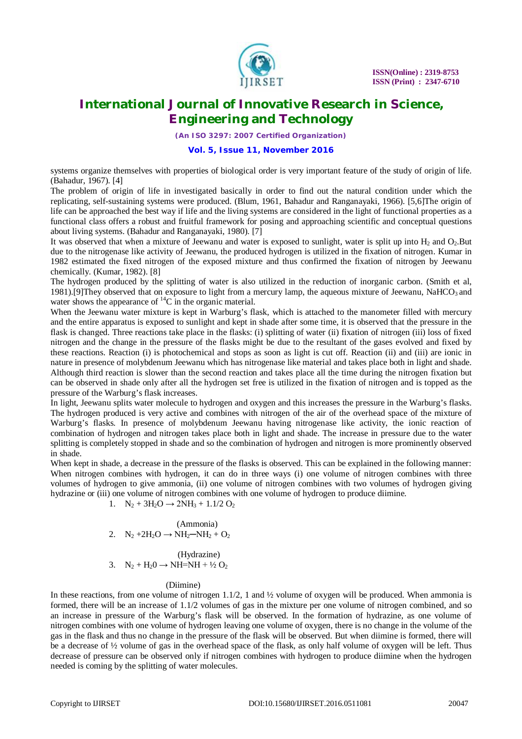

*(An ISO 3297: 2007 Certified Organization)*

#### **Vol. 5, Issue 11, November 2016**

systems organize themselves with properties of biological order is very important feature of the study of origin of life. (Bahadur, 1967). [4]

The problem of origin of life in investigated basically in order to find out the natural condition under which the replicating, self-sustaining systems were produced. (Blum, 1961, Bahadur and Ranganayaki, 1966). [5,6]The origin of life can be approached the best way if life and the living systems are considered in the light of functional properties as a functional class offers a robust and fruitful framework for posing and approaching scientific and conceptual questions about living systems. (Bahadur and Ranganayaki, 1980). [7]

It was observed that when a mixture of Jeewanu and water is exposed to sunlight, water is split up into  $H_2$  and  $O_2$ . But due to the nitrogenase like activity of Jeewanu, the produced hydrogen is utilized in the fixation of nitrogen. Kumar in 1982 estimated the fixed nitrogen of the exposed mixture and thus confirmed the fixation of nitrogen by Jeewanu chemically. (Kumar, 1982). [8]

The hydrogen produced by the splitting of water is also utilized in the reduction of inorganic carbon. (Smith et al, 1981).[9]They observed that on exposure to light from a mercury lamp, the aqueous mixture of Jeewanu, NaHCO3 and water shows the appearance of  ${}^{14}C$  in the organic material.

When the Jeewanu water mixture is kept in Warburg's flask, which is attached to the manometer filled with mercury and the entire apparatus is exposed to sunlight and kept in shade after some time, it is observed that the pressure in the flask is changed. Three reactions take place in the flasks: (i) splitting of water (ii) fixation of nitrogen (iii) loss of fixed nitrogen and the change in the pressure of the flasks might be due to the resultant of the gases evolved and fixed by these reactions. Reaction (i) is photochemical and stops as soon as light is cut off. Reaction (ii) and (iii) are ionic in nature in presence of molybdenum Jeewanu which has nitrogenase like material and takes place both in light and shade. Although third reaction is slower than the second reaction and takes place all the time during the nitrogen fixation but can be observed in shade only after all the hydrogen set free is utilized in the fixation of nitrogen and is topped as the pressure of the Warburg's flask increases.

In light, Jeewanu splits water molecule to hydrogen and oxygen and this increases the pressure in the Warburg's flasks. The hydrogen produced is very active and combines with nitrogen of the air of the overhead space of the mixture of Warburg's flasks. In presence of molybdenum Jeewanu having nitrogenase like activity, the ionic reaction of combination of hydrogen and nitrogen takes place both in light and shade. The increase in pressure due to the water splitting is completely stopped in shade and so the combination of hydrogen and nitrogen is more prominently observed in shade.

When kept in shade, a decrease in the pressure of the flasks is observed. This can be explained in the following manner: When nitrogen combines with hydrogen, it can do in three ways (i) one volume of nitrogen combines with three volumes of hydrogen to give ammonia, (ii) one volume of nitrogen combines with two volumes of hydrogen giving hydrazine or (iii) one volume of nitrogen combines with one volume of hydrogen to produce diimine.

1.  $N_2 + 3H_2O \rightarrow 2NH_3 + 1.1/2 O_2$ 

$$
\text{(Ammonia)}2. \quad N_2 + 2H_2O \rightarrow NH_2-NH_2 + O_2
$$

 (Hydrazine) 3.  $N_2 + H_20 \rightarrow NH = NH + \frac{1}{2}O_2$ 

#### (Diimine)

In these reactions, from one volume of nitrogen  $1.1/2$ , 1 and  $\frac{1}{2}$  volume of oxygen will be produced. When ammonia is formed, there will be an increase of 1.1/2 volumes of gas in the mixture per one volume of nitrogen combined, and so an increase in pressure of the Warburg's flask will be observed. In the formation of hydrazine, as one volume of nitrogen combines with one volume of hydrogen leaving one volume of oxygen, there is no change in the volume of the gas in the flask and thus no change in the pressure of the flask will be observed. But when diimine is formed, there will be a decrease of  $\frac{1}{2}$  volume of gas in the overhead space of the flask, as only half volume of oxygen will be left. Thus decrease of pressure can be observed only if nitrogen combines with hydrogen to produce diimine when the hydrogen needed is coming by the splitting of water molecules.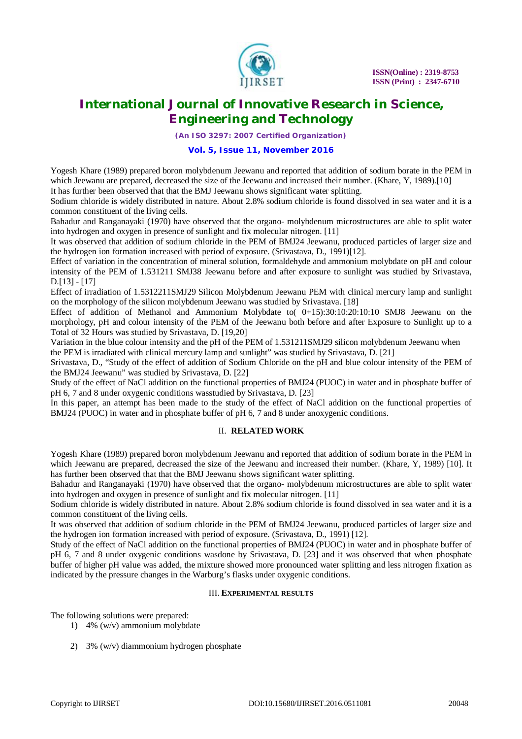

*(An ISO 3297: 2007 Certified Organization)*

### **Vol. 5, Issue 11, November 2016**

Yogesh Khare (1989) prepared boron molybdenum Jeewanu and reported that addition of sodium borate in the PEM in which Jeewanu are prepared, decreased the size of the Jeewanu and increased their number. (Khare, Y, 1989).[10] It has further been observed that that the BMJ Jeewanu shows significant water splitting.

Sodium chloride is widely distributed in nature. About 2.8% sodium chloride is found dissolved in sea water and it is a common constituent of the living cells.

Bahadur and Ranganayaki (1970) have observed that the organo- molybdenum microstructures are able to split water into hydrogen and oxygen in presence of sunlight and fix molecular nitrogen. [11]

It was observed that addition of sodium chloride in the PEM of BMJ24 Jeewanu, produced particles of larger size and the hydrogen ion formation increased with period of exposure. (Srivastava, D., 1991)[12].

Effect of variation in the concentration of mineral solution, formaldehyde and ammonium molybdate on pH and colour intensity of the PEM of 1.531211 SMJ38 Jeewanu before and after exposure to sunlight was studied by Srivastava, D.[13] - [17]

Effect of irradiation of 1.5312211SMJ29 Silicon Molybdenum Jeewanu PEM with clinical mercury lamp and sunlight on the morphology of the silicon molybdenum Jeewanu was studied by Srivastava. [18]

Effect of addition of Methanol and Ammonium Molybdate to( 0+15):30:10:20:10:10 SMJ8 Jeewanu on the morphology, pH and colour intensity of the PEM of the Jeewanu both before and after Exposure to Sunlight up to a Total of 32 Hours was studied by Srivastava, D. [19,20]

Variation in the blue colour intensity and the pH of the PEM of 1.531211SMJ29 silicon molybdenum Jeewanu when the PEM is irradiated with clinical mercury lamp and sunlight" was studied by Srivastava, D. [21]

Srivastava, D., "Study of the effect of addition of Sodium Chloride on the pH and blue colour intensity of the PEM of the BMJ24 Jeewanu" was studied by Srivastava, D. [22]

Study of the effect of NaCl addition on the functional properties of BMJ24 (PUOC) in water and in phosphate buffer of pH 6, 7 and 8 under oxygenic conditions wasstudied by Srivastava, D. [23]

In this paper, an attempt has been made to the study of the effect of NaCl addition on the functional properties of BMJ24 (PUOC) in water and in phosphate buffer of pH 6, 7 and 8 under anoxygenic conditions.

## II. **RELATED WORK**

Yogesh Khare (1989) prepared boron molybdenum Jeewanu and reported that addition of sodium borate in the PEM in which Jeewanu are prepared, decreased the size of the Jeewanu and increased their number. (Khare, Y, 1989) [10]. It has further been observed that that the BMJ Jeewanu shows significant water splitting.

Bahadur and Ranganayaki (1970) have observed that the organo- molybdenum microstructures are able to split water into hydrogen and oxygen in presence of sunlight and fix molecular nitrogen. [11]

Sodium chloride is widely distributed in nature. About 2.8% sodium chloride is found dissolved in sea water and it is a common constituent of the living cells.

It was observed that addition of sodium chloride in the PEM of BMJ24 Jeewanu, produced particles of larger size and the hydrogen ion formation increased with period of exposure. (Srivastava, D., 1991) [12].

Study of the effect of NaCl addition on the functional properties of BMJ24 (PUOC) in water and in phosphate buffer of pH 6, 7 and 8 under oxygenic conditions wasdone by Srivastava, D. [23] and it was observed that when phosphate buffer of higher pH value was added, the mixture showed more pronounced water splitting and less nitrogen fixation as indicated by the pressure changes in the Warburg's flasks under oxygenic conditions.

#### III. **EXPERIMENTAL RESULTS**

The following solutions were prepared:

- 1) 4% (w/v) ammonium molybdate
- 2) 3% (w/v) diammonium hydrogen phosphate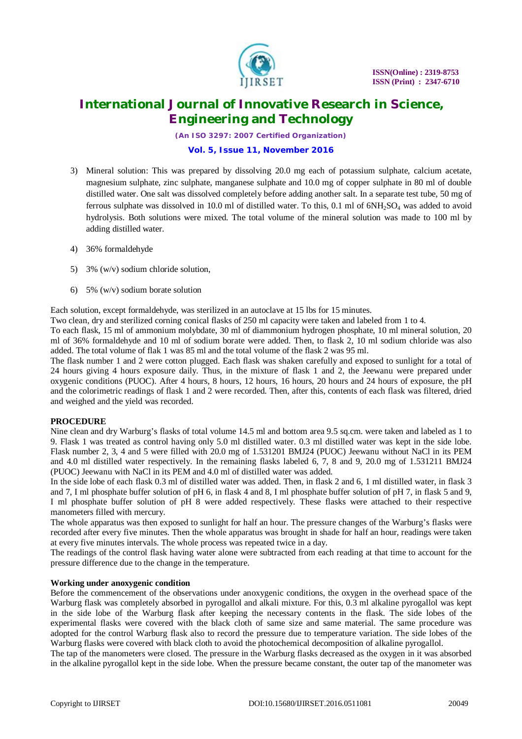

*(An ISO 3297: 2007 Certified Organization)*

## **Vol. 5, Issue 11, November 2016**

- 3) Mineral solution: This was prepared by dissolving 20.0 mg each of potassium sulphate, calcium acetate, magnesium sulphate, zinc sulphate, manganese sulphate and 10.0 mg of copper sulphate in 80 ml of double distilled water. One salt was dissolved completely before adding another salt. In a separate test tube, 50 mg of ferrous sulphate was dissolved in 10.0 ml of distilled water. To this, 0.1 ml of 6NH2SO<sup>4</sup> was added to avoid hydrolysis. Both solutions were mixed. The total volume of the mineral solution was made to 100 ml by adding distilled water.
- 4) 36% formaldehyde
- 5) 3% (w/v) sodium chloride solution,
- 6) 5% (w/v) sodium borate solution

Each solution, except formaldehyde, was sterilized in an autoclave at 15 lbs for 15 minutes.

Two clean, dry and sterilized corning conical flasks of 250 ml capacity were taken and labeled from 1 to 4.

To each flask, 15 ml of ammonium molybdate, 30 ml of diammonium hydrogen phosphate, 10 ml mineral solution, 20 ml of 36% formaldehyde and 10 ml of sodium borate were added. Then, to flask 2, 10 ml sodium chloride was also added. The total volume of flak 1 was 85 ml and the total volume of the flask 2 was 95 ml.

The flask number 1 and 2 were cotton plugged. Each flask was shaken carefully and exposed to sunlight for a total of 24 hours giving 4 hours exposure daily. Thus, in the mixture of flask 1 and 2, the Jeewanu were prepared under oxygenic conditions (PUOC). After 4 hours, 8 hours, 12 hours, 16 hours, 20 hours and 24 hours of exposure, the pH and the colorimetric readings of flask 1 and 2 were recorded. Then, after this, contents of each flask was filtered, dried and weighed and the yield was recorded.

## **PROCEDURE**

Nine clean and dry Warburg's flasks of total volume 14.5 ml and bottom area 9.5 sq.cm. were taken and labeled as 1 to 9. Flask 1 was treated as control having only 5.0 ml distilled water. 0.3 ml distilled water was kept in the side lobe. Flask number 2, 3, 4 and 5 were filled with 20.0 mg of 1.531201 BMJ24 (PUOC) Jeewanu without NaCl in its PEM and 4.0 ml distilled water respectively. In the remaining flasks labeled 6, 7, 8 and 9, 20.0 mg of 1.531211 BMJ24 (PUOC) Jeewanu with NaCl in its PEM and 4.0 ml of distilled water was added.

In the side lobe of each flask 0.3 ml of distilled water was added. Then, in flask 2 and 6, 1 ml distilled water, in flask 3 and 7, I ml phosphate buffer solution of pH 6, in flask 4 and 8, I ml phosphate buffer solution of pH 7, in flask 5 and 9, I ml phosphate buffer solution of pH 8 were added respectively. These flasks were attached to their respective manometers filled with mercury.

The whole apparatus was then exposed to sunlight for half an hour. The pressure changes of the Warburg's flasks were recorded after every five minutes. Then the whole apparatus was brought in shade for half an hour, readings were taken at every five minutes intervals. The whole process was repeated twice in a day.

The readings of the control flask having water alone were subtracted from each reading at that time to account for the pressure difference due to the change in the temperature.

#### **Working under anoxygenic condition**

Before the commencement of the observations under anoxygenic conditions, the oxygen in the overhead space of the Warburg flask was completely absorbed in pyrogallol and alkali mixture. For this, 0.3 ml alkaline pyrogallol was kept in the side lobe of the Warburg flask after keeping the necessary contents in the flask. The side lobes of the experimental flasks were covered with the black cloth of same size and same material. The same procedure was adopted for the control Warburg flask also to record the pressure due to temperature variation. The side lobes of the Warburg flasks were covered with black cloth to avoid the photochemical decomposition of alkaline pyrogallol.

The tap of the manometers were closed. The pressure in the Warburg flasks decreased as the oxygen in it was absorbed in the alkaline pyrogallol kept in the side lobe. When the pressure became constant, the outer tap of the manometer was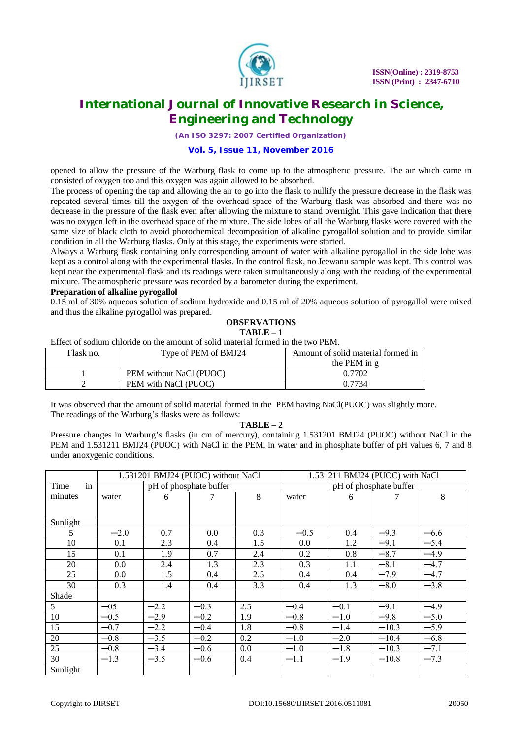

*(An ISO 3297: 2007 Certified Organization)*

#### **Vol. 5, Issue 11, November 2016**

opened to allow the pressure of the Warburg flask to come up to the atmospheric pressure. The air which came in consisted of oxygen too and this oxygen was again allowed to be absorbed.

The process of opening the tap and allowing the air to go into the flask to nullify the pressure decrease in the flask was repeated several times till the oxygen of the overhead space of the Warburg flask was absorbed and there was no decrease in the pressure of the flask even after allowing the mixture to stand overnight. This gave indication that there was no oxygen left in the overhead space of the mixture. The side lobes of all the Warburg flasks were covered with the same size of black cloth to avoid photochemical decomposition of alkaline pyrogallol solution and to provide similar condition in all the Warburg flasks. Only at this stage, the experiments were started.

Always a Warburg flask containing only corresponding amount of water with alkaline pyrogallol in the side lobe was kept as a control along with the experimental flasks. In the control flask, no Jeewanu sample was kept. This control was kept near the experimental flask and its readings were taken simultaneously along with the reading of the experimental mixture. The atmospheric pressure was recorded by a barometer during the experiment.

#### **Preparation of alkaline pyrogallol**

0.15 ml of 30% aqueous solution of sodium hydroxide and 0.15 ml of 20% aqueous solution of pyrogallol were mixed and thus the alkaline pyrogallol was prepared.

#### **OBSERVATIONS TABLE – 1**

Effect of sodium chloride on the amount of solid material formed in the two PEM.

| Flask no. | Type of PEM of BMJ24    | Amount of solid material formed in |
|-----------|-------------------------|------------------------------------|
|           |                         | the PEM in g                       |
|           | PEM without NaCl (PUOC) | 0.7702                             |
|           | PEM with NaCl (PUOC)    | 0.7734                             |

It was observed that the amount of solid material formed in the PEM having NaCl(PUOC) was slightly more. The readings of the Warburg's flasks were as follows:

#### **TABLE – 2**

Pressure changes in Warburg's flasks (in cm of mercury), containing 1.531201 BMJ24 (PUOC) without NaCl in the PEM and 1.531211 BMJ24 (PUOC) with NaCl in the PEM, in water and in phosphate buffer of pH values 6, 7 and 8 under anoxygenic conditions.

|            | 1.531201 BMJ24 (PUOC) without NaCl |        |        | 1.531211 BMJ24 (PUOC) with NaCl |        |        |         |        |
|------------|------------------------------------|--------|--------|---------------------------------|--------|--------|---------|--------|
| in<br>Time | pH of phosphate buffer             |        |        | pH of phosphate buffer          |        |        |         |        |
| minutes    | water                              | 6      |        | 8                               | water  | 6      |         | 8      |
|            |                                    |        |        |                                 |        |        |         |        |
| Sunlight   |                                    |        |        |                                 |        |        |         |        |
| 5          | $-2.0$                             | 0.7    | 0.0    | 0.3                             | $-0.5$ | 0.4    | $-9.3$  | $-6.6$ |
| 10         | 0.1                                | 2.3    | 0.4    | 1.5                             | 0.0    | 1.2    | $-9.1$  | $-5.4$ |
| 15         | 0.1                                | 1.9    | 0.7    | 2.4                             | 0.2    | 0.8    | $-8.7$  | $-4.9$ |
| 20         | 0.0                                | 2.4    | 1.3    | 2.3                             | 0.3    | 1.1    | $-8.1$  | $-4.7$ |
| 25         | $0.0\,$                            | 1.5    | 0.4    | 2.5                             | 0.4    | 0.4    | $-7.9$  | $-4.7$ |
| 30         | 0.3                                | 1.4    | 0.4    | 3.3                             | 0.4    | 1.3    | $-8.0$  | $-3.8$ |
| Shade      |                                    |        |        |                                 |        |        |         |        |
| 5          | $-0.5$                             | $-2.2$ | $-0.3$ | 2.5                             | $-0.4$ | $-0.1$ | $-9.1$  | $-4.9$ |
| 10         | $-0.5$                             | $-2.9$ | $-0.2$ | 1.9                             | $-0.8$ | $-1.0$ | $-9.8$  | $-5.0$ |
| 15         | $-0.7$                             | $-2.2$ | $-0.4$ | 1.8                             | $-0.8$ | $-1.4$ | $-10.3$ | $-5.9$ |
| 20         | $-0.8$                             | $-3.5$ | $-0.2$ | 0.2                             | $-1.0$ | $-2.0$ | $-10.4$ | $-6.8$ |
| 25         | $-0.8$                             | $-3.4$ | $-0.6$ | 0.0                             | $-1.0$ | $-1.8$ | $-10.3$ | $-7.1$ |
| 30         | $-1.3$                             | $-3.5$ | $-0.6$ | 0.4                             | $-1.1$ | $-1.9$ | $-10.8$ | $-7.3$ |
| Sunlight   |                                    |        |        |                                 |        |        |         |        |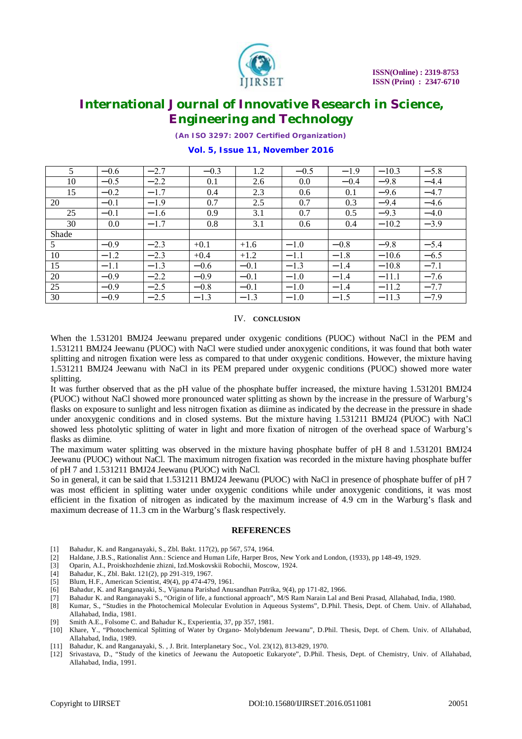

*(An ISO 3297: 2007 Certified Organization)*

| 5     | $-0.6$ | $-2.7$ | $-0.3$ | 1.2    | $-0.5$ | $-1.9$ | $-10.3$ | $-5.8$ |
|-------|--------|--------|--------|--------|--------|--------|---------|--------|
| 10    | $-0.5$ | $-2.2$ | 0.1    | 2.6    | 0.0    | $-0.4$ | $-9.8$  | $-4.4$ |
| 15    | $-0.2$ | $-1.7$ | 0.4    | 2.3    | 0.6    | 0.1    | $-9.6$  | $-4.7$ |
| 20    | $-0.1$ | $-1.9$ | 0.7    | 2.5    | 0.7    | 0.3    | $-9.4$  | $-4.6$ |
| 25    | $-0.1$ | $-1.6$ | 0.9    | 3.1    | 0.7    | 0.5    | $-9.3$  | $-4.0$ |
| 30    | 0.0    | $-1.7$ | 0.8    | 3.1    | 0.6    | 0.4    | $-10.2$ | $-3.9$ |
| Shade |        |        |        |        |        |        |         |        |
| 5     | $-0.9$ | $-2.3$ | $+0.1$ | $+1.6$ | $-1.0$ | $-0.8$ | $-9.8$  | $-5.4$ |
| 10    | $-1.2$ | $-2.3$ | $+0.4$ | $+1.2$ | $-1.1$ | $-1.8$ | $-10.6$ | $-6.5$ |
| 15    | $-1.1$ | $-1.3$ | $-0.6$ | $-0.1$ | $-1.3$ | $-1.4$ | $-10.8$ | $-7.1$ |
| 20    | $-0.9$ | $-2.2$ | $-0.9$ | $-0.1$ | $-1.0$ | $-1.4$ | $-11.1$ | $-7.6$ |
| 25    | $-0.9$ | $-2.5$ | $-0.8$ | $-0.1$ | $-1.0$ | $-1.4$ | $-11.2$ | $-7.7$ |
| 30    | $-0.9$ | $-2.5$ | $-1.3$ | $-1.3$ | $-1.0$ | $-1.5$ | $-11.3$ | $-7.9$ |

## **Vol. 5, Issue 11, November 2016**

#### IV. **CONCLUSION**

When the 1.531201 BMJ24 Jeewanu prepared under oxygenic conditions (PUOC) without NaCl in the PEM and 1.531211 BMJ24 Jeewanu (PUOC) with NaCl were studied under anoxygenic conditions, it was found that both water splitting and nitrogen fixation were less as compared to that under oxygenic conditions. However, the mixture having 1.531211 BMJ24 Jeewanu with NaCl in its PEM prepared under oxygenic conditions (PUOC) showed more water splitting.

It was further observed that as the pH value of the phosphate buffer increased, the mixture having 1.531201 BMJ24 (PUOC) without NaCl showed more pronounced water splitting as shown by the increase in the pressure of Warburg's flasks on exposure to sunlight and less nitrogen fixation as diimine as indicated by the decrease in the pressure in shade under anoxygenic conditions and in closed systems. But the mixture having 1.531211 BMJ24 (PUOC) with NaCl showed less photolytic splitting of water in light and more fixation of nitrogen of the overhead space of Warburg's flasks as diimine.

The maximum water splitting was observed in the mixture having phosphate buffer of pH 8 and 1.531201 BMJ24 Jeewanu (PUOC) without NaCl. The maximum nitrogen fixation was recorded in the mixture having phosphate buffer of pH 7 and 1.531211 BMJ24 Jeewanu (PUOC) with NaCl.

So in general, it can be said that 1.531211 BMJ24 Jeewanu (PUOC) with NaCl in presence of phosphate buffer of pH 7 was most efficient in splitting water under oxygenic conditions while under anoxygenic conditions, it was most efficient in the fixation of nitrogen as indicated by the maximum increase of 4.9 cm in the Warburg's flask and maximum decrease of 11.3 cm in the Warburg's flask respectively.

#### **REFERENCES**

- [1] Bahadur, K. and Ranganayaki, S., Zbl. Bakt. 117(2), pp 567, 574, 1964.
- [2] Haldane, J.B.S., Rationalist Ann.: Science and Human Life, Harper Bros, New York and London, (1933), pp 148-49, 1929.
- [3] Oparin, A.I., Proiskhozhdenie zhizni, Izd.Moskovskii Robochii, Moscow, 1924.
- [4] Bahadur, K., Zbl. Bakt. 121(2), pp 291-319, 1967.
- [5] Blum, H.F., American Scientist, 49(4), pp 474-479, 1961.
- [6] Bahadur, K. and Ranganayaki, S., Vijanana Parishad Anusandhan Patrika, 9(4), pp 171-82, 1966.
- [7] Bahadur K. and Ranganayaki S., "Origin of life, a functional approach", M/S Ram Narain Lal and Beni Prasad, Allahabad, India, 1980.
- [8] Kumar, S., "Studies in the Photochemical Molecular Evolution in Aqueous Systems", D.Phil. Thesis, Dept. of Chem. Univ. of Allahabad, Allahabad, India, 1981.
- [9] Smith A.E., Folsome C. and Bahadur K., Experientia, 37, pp 357, 1981.
- [10] Khare, Y., "Photochemical Splitting of Water by Organo- Molybdenum Jeewanu", D.Phil. Thesis, Dept. of Chem. Univ. of Allahabad, Allahabad, India, 1989.
- [11] Bahadur, K. and Ranganayaki, S. , J. Brit. Interplanetary Soc., Vol. 23(12), 813-829, 1970.
- [12] Srivastava, D., "Study of the kinetics of Jeewanu the Autopoetic Eukaryote", D.Phil. Thesis, Dept. of Chemistry, Univ. of Allahabad, Allahabad, India, 1991.